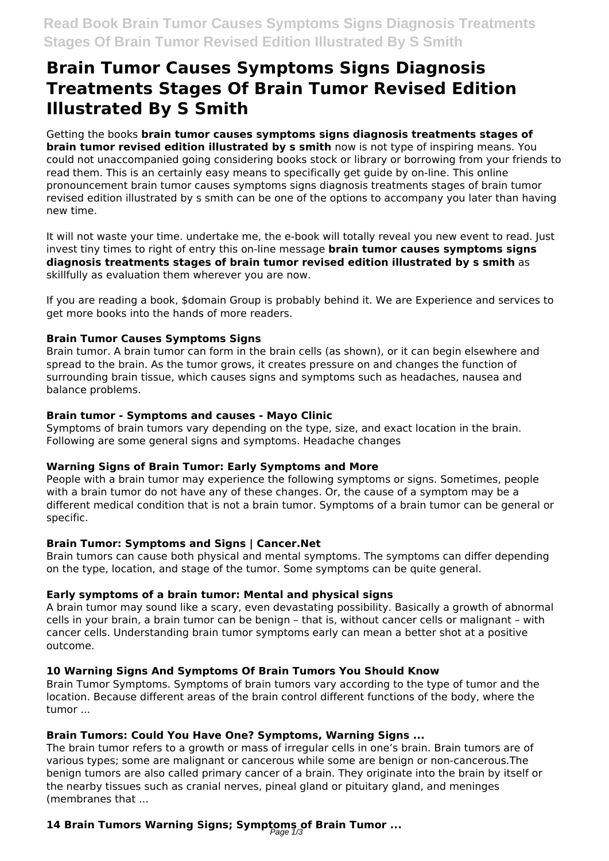# **Brain Tumor Causes Symptoms Signs Diagnosis Treatments Stages Of Brain Tumor Revised Edition Illustrated By S Smith**

Getting the books **brain tumor causes symptoms signs diagnosis treatments stages of brain tumor revised edition illustrated by s smith** now is not type of inspiring means. You could not unaccompanied going considering books stock or library or borrowing from your friends to read them. This is an certainly easy means to specifically get guide by on-line. This online pronouncement brain tumor causes symptoms signs diagnosis treatments stages of brain tumor revised edition illustrated by s smith can be one of the options to accompany you later than having new time.

It will not waste your time. undertake me, the e-book will totally reveal you new event to read. Just invest tiny times to right of entry this on-line message **brain tumor causes symptoms signs diagnosis treatments stages of brain tumor revised edition illustrated by s smith** as skillfully as evaluation them wherever you are now.

If you are reading a book, \$domain Group is probably behind it. We are Experience and services to get more books into the hands of more readers.

#### **Brain Tumor Causes Symptoms Signs**

Brain tumor. A brain tumor can form in the brain cells (as shown), or it can begin elsewhere and spread to the brain. As the tumor grows, it creates pressure on and changes the function of surrounding brain tissue, which causes signs and symptoms such as headaches, nausea and balance problems.

#### **Brain tumor - Symptoms and causes - Mayo Clinic**

Symptoms of brain tumors vary depending on the type, size, and exact location in the brain. Following are some general signs and symptoms. Headache changes

#### **Warning Signs of Brain Tumor: Early Symptoms and More**

People with a brain tumor may experience the following symptoms or signs. Sometimes, people with a brain tumor do not have any of these changes. Or, the cause of a symptom may be a different medical condition that is not a brain tumor. Symptoms of a brain tumor can be general or specific.

#### **Brain Tumor: Symptoms and Signs | Cancer.Net**

Brain tumors can cause both physical and mental symptoms. The symptoms can differ depending on the type, location, and stage of the tumor. Some symptoms can be quite general.

# **Early symptoms of a brain tumor: Mental and physical signs**

A brain tumor may sound like a scary, even devastating possibility. Basically a growth of abnormal cells in your brain, a brain tumor can be benign – that is, without cancer cells or malignant – with cancer cells. Understanding brain tumor symptoms early can mean a better shot at a positive outcome.

# **10 Warning Signs And Symptoms Of Brain Tumors You Should Know**

Brain Tumor Symptoms. Symptoms of brain tumors vary according to the type of tumor and the location. Because different areas of the brain control different functions of the body, where the tumor ...

# **Brain Tumors: Could You Have One? Symptoms, Warning Signs ...**

The brain tumor refers to a growth or mass of irregular cells in one's brain. Brain tumors are of various types; some are malignant or cancerous while some are benign or non-cancerous.The benign tumors are also called primary cancer of a brain. They originate into the brain by itself or the nearby tissues such as cranial nerves, pineal gland or pituitary gland, and meninges (membranes that ...

# **14 Brain Tumors Warning Signs; Symptoms of Brain Tumor ...** Page 1/3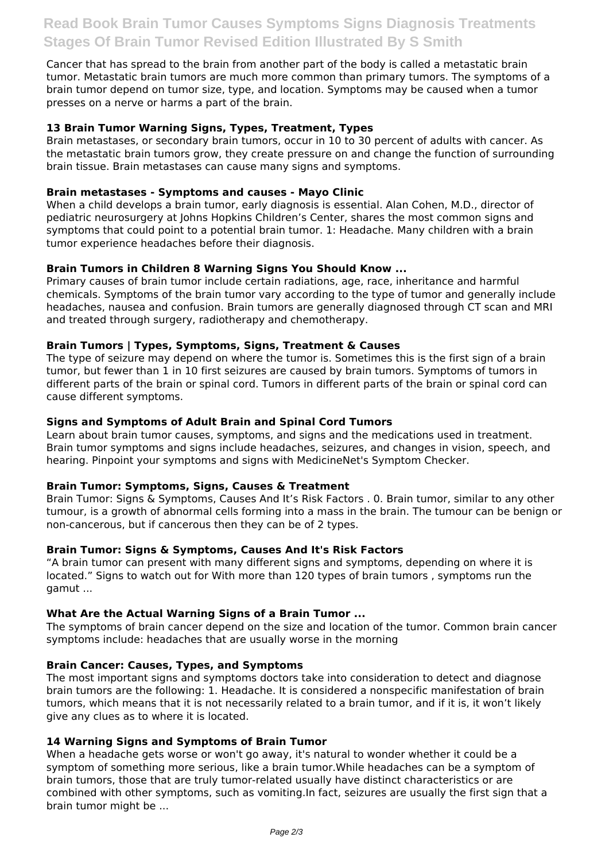Cancer that has spread to the brain from another part of the body is called a metastatic brain tumor. Metastatic brain tumors are much more common than primary tumors. The symptoms of a brain tumor depend on tumor size, type, and location. Symptoms may be caused when a tumor presses on a nerve or harms a part of the brain.

#### **13 Brain Tumor Warning Signs, Types, Treatment, Types**

Brain metastases, or secondary brain tumors, occur in 10 to 30 percent of adults with cancer. As the metastatic brain tumors grow, they create pressure on and change the function of surrounding brain tissue. Brain metastases can cause many signs and symptoms.

#### **Brain metastases - Symptoms and causes - Mayo Clinic**

When a child develops a brain tumor, early diagnosis is essential. Alan Cohen, M.D., director of pediatric neurosurgery at Johns Hopkins Children's Center, shares the most common signs and symptoms that could point to a potential brain tumor. 1: Headache. Many children with a brain tumor experience headaches before their diagnosis.

#### **Brain Tumors in Children 8 Warning Signs You Should Know ...**

Primary causes of brain tumor include certain radiations, age, race, inheritance and harmful chemicals. Symptoms of the brain tumor vary according to the type of tumor and generally include headaches, nausea and confusion. Brain tumors are generally diagnosed through CT scan and MRI and treated through surgery, radiotherapy and chemotherapy.

#### **Brain Tumors | Types, Symptoms, Signs, Treatment & Causes**

The type of seizure may depend on where the tumor is. Sometimes this is the first sign of a brain tumor, but fewer than 1 in 10 first seizures are caused by brain tumors. Symptoms of tumors in different parts of the brain or spinal cord. Tumors in different parts of the brain or spinal cord can cause different symptoms.

#### **Signs and Symptoms of Adult Brain and Spinal Cord Tumors**

Learn about brain tumor causes, symptoms, and signs and the medications used in treatment. Brain tumor symptoms and signs include headaches, seizures, and changes in vision, speech, and hearing. Pinpoint your symptoms and signs with MedicineNet's Symptom Checker.

#### **Brain Tumor: Symptoms, Signs, Causes & Treatment**

Brain Tumor: Signs & Symptoms, Causes And It's Risk Factors . 0. Brain tumor, similar to any other tumour, is a growth of abnormal cells forming into a mass in the brain. The tumour can be benign or non-cancerous, but if cancerous then they can be of 2 types.

#### **Brain Tumor: Signs & Symptoms, Causes And It's Risk Factors**

"A brain tumor can present with many different signs and symptoms, depending on where it is located." Signs to watch out for With more than 120 types of brain tumors , symptoms run the gamut ...

#### **What Are the Actual Warning Signs of a Brain Tumor ...**

The symptoms of brain cancer depend on the size and location of the tumor. Common brain cancer symptoms include: headaches that are usually worse in the morning

#### **Brain Cancer: Causes, Types, and Symptoms**

The most important signs and symptoms doctors take into consideration to detect and diagnose brain tumors are the following: 1. Headache. It is considered a nonspecific manifestation of brain tumors, which means that it is not necessarily related to a brain tumor, and if it is, it won't likely give any clues as to where it is located.

#### **14 Warning Signs and Symptoms of Brain Tumor**

When a headache gets worse or won't go away, it's natural to wonder whether it could be a symptom of something more serious, like a brain tumor.While headaches can be a symptom of brain tumors, those that are truly tumor-related usually have distinct characteristics or are combined with other symptoms, such as vomiting.In fact, seizures are usually the first sign that a brain tumor might be ...